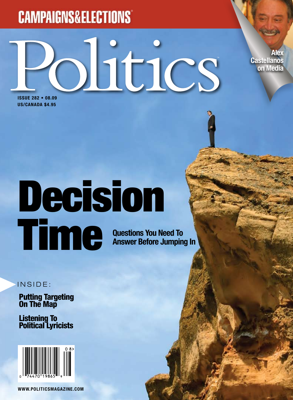# **CAMPAIGNS&ELECTIONS®**

Ditics

**Alex Castellanos on Media**

**ISSUE 282 • 08.09 US/CANADA \$4.95**

# **Questions You Need To Answer Before Jumping In** Decision Time

INSIDE:

Putting Targeting On The Map

Listening To Political Lyricists



**www.PoliticsMagazine.com**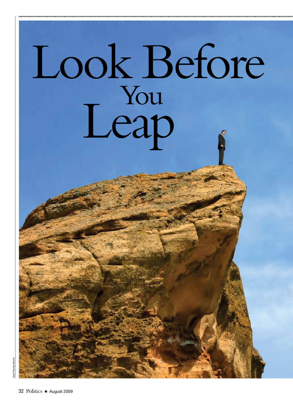# Look Before You Leap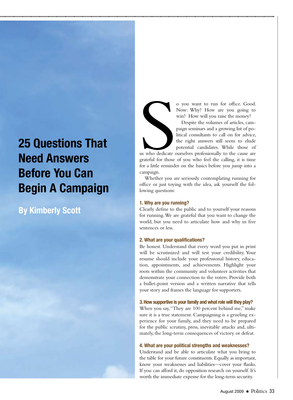# **25 Questions That Need Answers Before You Can Begin A Campaign**

### **By Kimberly Scott**

o you want to run for office. Good. Now: Why? How are you going to win? How will you raise the money?

Despite the volumes of articles, campaign seminars and a growing list of political consultants to call on for advice, the right answers still seem to elude potential candidates. While those of

us who dedicate us who dedicate ourselves professionally to the cause are grateful for those of you who feel the calling, it is time for a little reminder on the basics before you jump into a campaign.

Whether you are seriously contemplating running for office or just toying with the idea, ask yourself the following questions:

#### **1. Why are you running?**

Clearly define to the public and to yourself your reasons for running. We are grateful that you want to change the world, but you need to articulate how and why in five sentences or less.

#### **2. What are your qualifications?**

Be honest. Understand that every word you put in print will be scrutinized and will test your credibility. Your resume should include your professional history, education, appointments, and achievements. Highlight your roots within the community and volunteer activities that demonstrate your connection to the voters. Provide both a bullet-point version and a written narrative that tells your story and frames the language for supporters.

#### **3. How supportive is your family and what role will they play?**

When you say, "They are 100 percent behind me," make sure it is a true statement. Campaigning is a grueling experience for your family, and they need to be prepared for the public scrutiny, press, inevitable attacks and, ultimately, the long-term consequences of victory or defeat.

#### **4. What are your political strengths and weaknesses?**

Understand and be able to articulate what you bring to the table for your future constituents. Equally as important, know your weaknesses and liabilities—cover your flanks. If you can afford it, do opposition research on yourself. It's worth the immediate expense for the long-term security.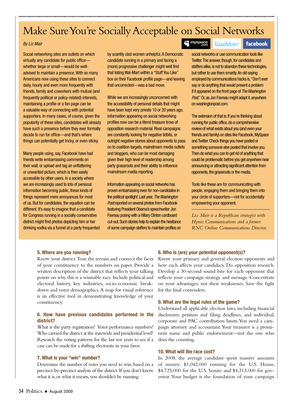## Make Sure You're Socially Acceptable on Social Networks

#### *By Liz Mair*

Social networking sites are outlets on which virtually any candidate for public office whether large or small—would be welladvised to maintain a presence. With so many Americans now using these sites to connect daily, hourly and even more frequently with friends, family and coworkers with mutual (and frequently political or policy-related) interests, maintaining a profile or a fan page can be a valuable way of connecting with potential supporters. In many cases, of course, given the popularity of these sites, candidates will already have such a presence before they ever formally decide to run for office—and that's where things can potentially get tricky, or even sticky.

Many people using, say, Facebook have had friends write embarrassing comments on their wall, or upload and tag an unflattering or unwanted picture, which is then easily accessible by other users. In a society where we are increasingly used to lots of personal information becoming public, these kinds of things represent mere annoyances for most of us. But for candidates, the equation can be different. It's easy to imagine that a candidate for Congress running in a socially conservative district might find photos depicting him or her drinking vodka via a funnel at a party frequented by scantily clad women unhelpful. A Democratic candidate running in a primary and facing a (more) progressive challenger might well find that listing Wal-Mart within a "Stuff You Like" box on their Facebook profile page—and leaving that uncorrected—was a bad move.

While we are increasingly unconcerned with the accessibility of personal details that might have been kept very private 10 or 20 years ago, information appearing on social networking profiles now can be a literal treasure trove of opposition research material. Rival campaigns are constantly looking for negative tidbits, or outright negative stories about opponents to pass on to coalition targets, mainstream media outlets and bloggers, who can be most damaging given their high level of readership among party grassroots and their ability to influence mainstream media reporting.

Information appearing on social networks has proven embarrassing even for non-candidates in the political spotlight. Last year, *The Washington Post* reported on several photos from Facebook featuring President Obama's speechwriter Jon Favreau posing with a Hillary Clinton cardboard cut-out. Such stories help to explain the hesitance of some campaign staffers to maintain profiles on

#### at myspace

facebook.

social networks or use communication tools like Twitter. The answer, though, for candidates and staffers alike, is not to abandon these technologies, but rather to use them smartly. An old saying employed by communications hacks is, "Don't ever say or do anything that would present a problem if it appeared on the front page of *The Washington Post*." Or, as Jon Favreau might adapt it, anywhere on washingtonpost.com.

**Lwitter** 

The extension of that is: If you're thinking about running for public office, do a comprehensive review of what exists about you (and even your friends and family) on sites like Facebook, MySpace and Twitter. Check things you have posted or something someone else posted that involve you. Then do what you can to get rid of anything that could be problematic before you get anywhere near announcing or attracting significant attention from opponents, the grassroots or the media.

Tools like these are for communicating with people, engaging them and bringing them into your circle of supporters—not for accidentally empowering your opponent.

*Liz Mair is a Republican strategist with Hynes Communications and a former RNC Online Communications Director.*

#### **5. Where are you running?**

Know your district. Tour the terrain and connect the faces of your constituency to the numbers on paper. Provide a written description of the district that reflects your talking points on why this is a winnable race. Include political and electoral history, key industries, socio-economic breakdown and voter demographics. A map for visual reference is an effective tool in demonstrating knowledge of your constituency.

#### **6. How have previous candidates performed in the district?**

What is the party registration? Voter performance numbers? Who carried the district at the statewide and presidential level? Research the voting patterns for the last ten years to see if a case can be made for a shifting electorate in your favor.

#### **7. What is your "win" number?**

Determine the number of votes you need to win, based on a precinct-by-precinct analysis of the district. If you don't know what it is, or what it means, you shouldn't be running.

#### **8. Who is (are) your potential opponent(s)?**

Know your primary and general election opponents and how each affects your candidacy. Do opposition research. Develop a 30-second sound bite for each opponent that reflects your campaign strategy and message. Concentrate on your advantages, not their weaknesses. Save the fight for the final contenders.

#### **9. What are the legal rules of the game?**

Understand all applicable election laws, including financial disclosures, petition and filing deadlines, and individual, corporate and PAC contribution limits. You need a campaign attorney and accountant. Your treasurer is a prominent name and public endorsement—not the one who does the counting.

#### **10. What will the race cost?**

In 2008, the average candidate spent massive amounts of money: \$1,042,000 running for the U.S. House, \$4,725,000 for the U.S. Senate and \$4,313,000 for governor. Your budget is the foundation of your campaign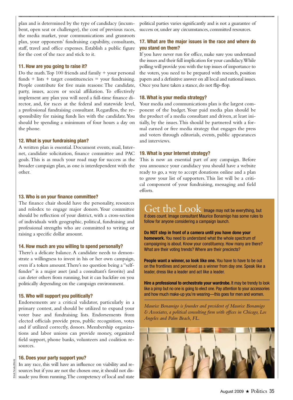plan and is determined by the type of candidacy (incumbent, open seat or challenger), the cost of previous races, the media market, your communications and grassroots plan, your opponents' fundraising capability, consultants, staff, travel and office expenses. Establish a public figure for the cost of the race and stick to it.

#### **11. How are you going to raise it?**

Do the math. Top 100 friends and family + your personal funds + lists + target constituencies = your fundraising. People contribute for five main reasons: The candidate, party, issues, access or social affiliation. To effectively implement any plan you will need a full-time finance director, and, for races at the federal and statewide level, a professional fundraising consultant. Regardless, the responsibility for raising funds lies with the candidate. You should be spending a minimum of four hours a day on the phone.

#### **12. What is your fundraising plan?**

A written plan is essential. Document events, mail, Internet, candidate solicitation, finance committee and PAC goals. This is as much your road map for success as the broader campaign plan, as one is interdependent with the other. You will need a full-time finance director and, the full-time finance director and, the full-time finance director and, the full-time finance director and, the full-time finance director and, the full-time finance d

#### **13. Who is on your finance committee?**

The finance chair should have the personality, resources and rolodex to engage major donors. Your committee should be reflection of your district, with a cross-section of individuals with geographic, political, fundraising and professional strengths who are committed to writing or raising a specific dollar amount.

#### **14. How much are you willing to spend personally?**

There's a delicate balance. A candidate needs to demonstrate a willingness to invest in his or her own campaign, even if a token amount. There's no question being a "selffunder" is a major asset (and a consultant's favorite) and can deter others from running, but it can backfire on you politically depending on the campaign environment.

#### **15. Who will support you politically?**

Endorsements are a critical validator, particularly in a primary contest, and should be utilized to expand your voter base and fundraising lists. Endorsements from elected officials provide press, public recognition, votes and if utilized correctly, donors. Membership organizations and labor unions can provide money, organized field support, phone banks, volunteers and coalition resources.

#### **16. Does your party support you?**

Emrah Turudu (iStock)Emrah Turudu (

In any race, this will have an influence on viability and resources but if you are not the chosen one, it should not dissuade you from running. The competency of local and state political parties varies significantly and is not a guarantee of success or, under any circumstances, committed resources.

#### **17. What are the major issues in the race and where do you stand on them?**

If you have never run for office, make sure you understand the issues and their full implication for your candidacy. While polling will provide you with the top issues of importance to the voters, you need to be prepared with research, position papers and a definitive answer on all local and national issues. Once you have taken a stance, do not flip-flop.

#### **18. What is your media strategy?**

Your media and communications plan is the largest component of the budget. Your paid media plan should be the product of a media consultant and driven, at least initially, by the issues. This should be partnered with a formal earned or free media strategy that engages the press and voters through editorials, events, public appearances and interviews.

#### **19. What is your Internet strategy?**

This is now an essential part of any campaign. Before you announce your candidacy you should have a website ready to go, a way to accept donations online and a plan to grow your list of supporters. This list will be a critical component of your fundraising, messaging and field efforts.

Get the Look Image may not be everything, but it does count. Image consultant Maurice Bonamigo has some rules to follow for anyone considering a campaign launch.

**Do NOT step in front of a camera until you have done your homework.** You need to understand what the whole spectrum of campaigning is about. Know your constituency. How many are there? What are their voting trends? Where are their precincts?

**People want a winner, so look like one.** You have to have to be out on the frontlines and perceived as a winner from day one. Speak like a leader, dress like a leader and act like a leader.

**Hire a professional to orchestrate your wardrobe.** It may be trendy to look like a pimp but no one is going to elect one. Pay attention to your accessories and how much make-up you're wearing—this goes for men and women.

*Maurice Bonamigo is founder and president of Maurice Bonamigo & Associates, a political consulting firm with offices in Chicago, Los Angeles and Palm Beach, FL.*

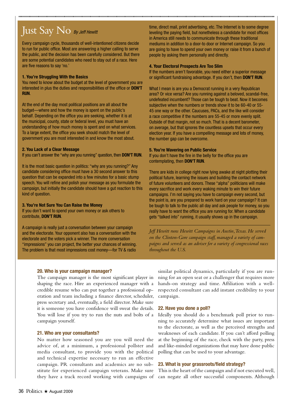# Just Say No *By Jeff Hewitt*

Every campaign cycle, thousands of well-intentioned citizens decide to run for public office. Most are answering a higher calling to serve the public, and the decision has been carefully considered. But there are some potential candidates who need to stay out of a race. Here are five reasons to say 'no.'

#### **1. You're Struggling With the Basics**

You need to know about the budget at the level of government you are interested in plus the duties and responsibilities of the office or **DON'T RUN**.

At the end of the day most political positions are all about the budget—where and how the money is spent on the public's behalf. Depending on the office you are seeking, whether it is at the municipal, county, state or federal level, you must have an understanding of how much money is spent and on what services. To a large extent, the office you seek should match the level of government you are most interested in and know the most about.

#### **2. You Lack of a Clear Message**

If you can't answer the "why are you running" question, then **DON'T RUN**.

It is the most basic question in politics: "why are you running?" Any candidate considering office must have a 30 second answer to this question that can be expanded into a few minutes for a basic stump speech. You will refine and polish your message as you formulate the campaign, but initially the candidate should have a gut reaction to this kind of question.

#### **3. You're Not Sure You Can Raise the Money**

If you don't want to spend your own money or ask others to contribute, **DON'T RUN**.

A campaign is really just a conversation between your campaign and the electorate. Your opponent also has a conversation with the electorate and the voters pick a winner. The more conversation "impressions" you can project, the better your chances of winning. The problem is that most impressions cost money—for TV & radio

time, direct mail, print advertising, etc. The Internet is to some degree leveling the paying field, but nonetheless a candidate for most offices in America still needs to communicate through these traditional mediums in addition to a door-to door or Internet campaign. So you are going to have to spend your own money or raise it from a bunch of people by asking them personally and directly.

#### **4. Your Electoral Prospects Are Too Slim**

If the numbers aren't favorable, you need either a superior message or significant fundraising advantage. If you don't, then **DON'T RUN**.

What I mean is are you a Democrat running in a very Republican area? Or vice versa? Are you running against a beloved, scandal-free, undefeated incumbent? Those can be tough to beat. Now it becomes subjective when the numbers or trends show it to be 60-40 or 55- 45 one way or the other. Caucuses, PACs, and the like will consider a race competitive if the numbers are 55-45 or more evenly split. Outside of that margin, not so much. That is a decent barometer, on average, but that ignores the countless upsets that occur every election year. If you have a compelling message and lots of money, the number gap can be overcome.

#### **5. You're Wavering on Public Service**

If you don't have the fire in the belly for the office you are contemplating, then **DON'T RUN**.

There are kids in college right now lying awake at night plotting their political future, learning the issues and building the contact network of future volunteers and donors. These "alpha" politicians will make every sacrifice and work every waking minute to win their future campaigns. I'm not saying you have to campaign every second, but the point is, are you prepared to work hard on your campaign? It can be tough to talk to the public all day and ask people for money, so you really have to want the office you are running for. When a candidate gets "talked into" running, it usually shows up in the campaign.

*Jeff Hewitt runs Hewitt Campaigns in Austin, Texas. He served on the Clinton-Gore campaign staff, managed a variety of campaigns and served as an adviser for a variety of congressional races throughout the U.S.*

#### **20. Who is your campaign manager?**

The campaign manager is the most significant player in shaping the race. Hire an experienced manager with a credible resume who can put together a professional operation and team including a finance director, scheduler, press secretary and, eventually, a field director. Make sure it is someone you have confidence will sweat the details. You will lose if you try to run the nuts and bolts of a campaign yourself.

#### **21. Who are your consultants?**

No matter how seasoned you are you will need the advice of, at a minimum, a professional pollster and media consultant, to provide you with the political and technical expertise necessary to run an effective campaign. PR consultants and academics are no substitute for experienced campaign veterans. Make sure

similar political dynamics, particularly if you are running for an open seat or a challenger that requires more hands-on strategy and time. Affiliation with a wellrespected consultant can add instant credibility to your campaign.

#### **22. Have you done a poll?**

Ideally you should do a benchmark poll prior to running to accurately determine what issues are important to the electorate, as well as the perceived strengths and weaknesses of each candidate. If you can't afford polling at the beginning of the race, check with the party, press and like-minded organizations that may have done public polling that can be used to your advantage.

#### **23. What is your grassroots/field strategy?**

they have a track record working with campaigns of can negate all other successful components. Although This is the heart of the campaign and if not executed well,